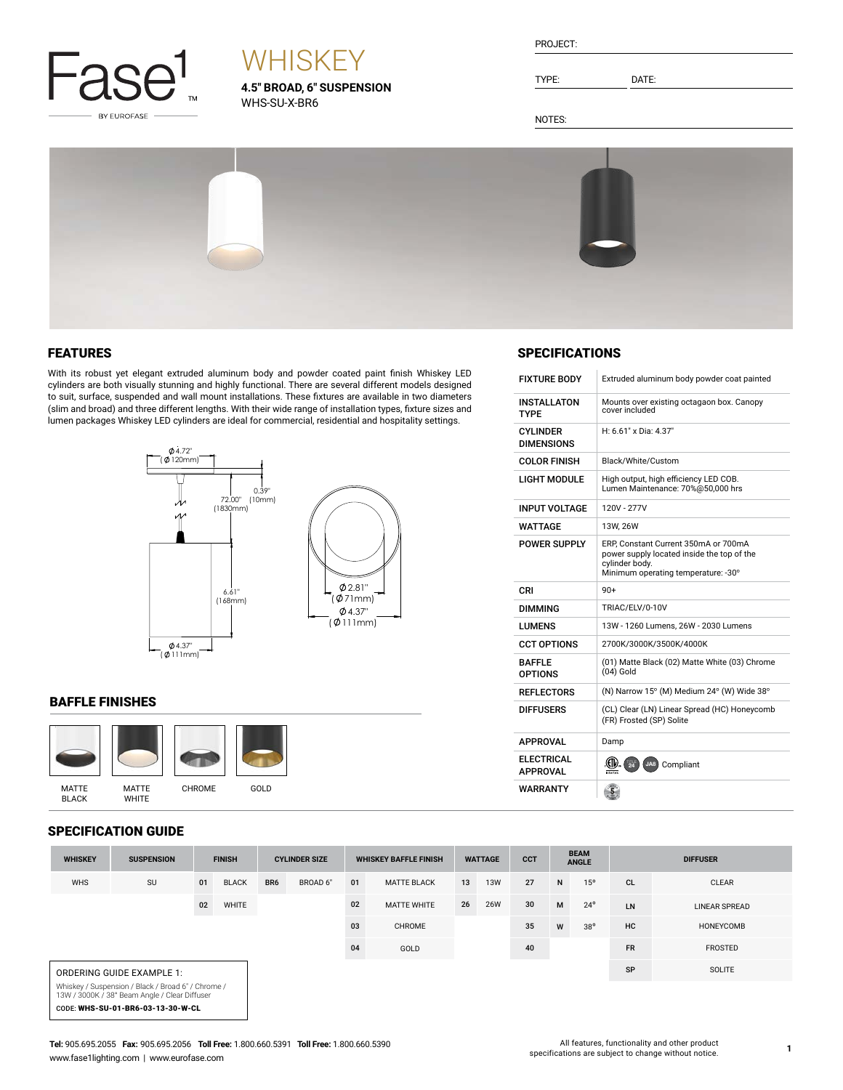

# **WHISKEY**

**4.5" BROAD, 6" SUSPENSION** WHS-SU-X-BR6

| PROJECT: |  |
|----------|--|
|          |  |

TYPE: DATE:

NOTES:



#### FEATURES

With its robust yet elegant extruded aluminum body and powder coated paint finish Whiskey LED cylinders are both visually stunning and highly functional. There are several different models designed to suit, surface, suspended and wall mount installations. These fixtures are available in two diameters (slim and broad) and three different lengths. With their wide range of installation types, fixture sizes and lumen packages Whiskey LED cylinders are ideal for commercial, residential and hospitality settings.



#### BAFFLE FINISHES



#### SPECIFI

|                | <b>PECIFICATION GUIDE</b>        |               |              |                                                      |          |                              |                    |                             |            |                 |   |              |           |                      |
|----------------|----------------------------------|---------------|--------------|------------------------------------------------------|----------|------------------------------|--------------------|-----------------------------|------------|-----------------|---|--------------|-----------|----------------------|
| <b>WHISKEY</b> | <b>SUSPENSION</b>                | <b>FINISH</b> |              | <b>WHISKEY BAFFLE FINISH</b><br><b>CYLINDER SIZE</b> |          | <b>CCT</b><br><b>WATTAGE</b> |                    | <b>BEAM</b><br><b>ANGLE</b> |            | <b>DIFFUSER</b> |   |              |           |                      |
| <b>WHS</b>     | SU                               | 01            | <b>BLACK</b> | BR <sub>6</sub>                                      | BROAD 6" | 01                           | <b>MATTE BLACK</b> | 13                          | <b>13W</b> | 27              | N | 15°          | <b>CL</b> | <b>CLEAR</b>         |
|                |                                  | 02            | WHITE        |                                                      |          | 02                           | <b>MATTE WHITE</b> | 26                          | <b>26W</b> | 30              | M | $24^{\circ}$ | LN        | <b>LINEAR SPREAD</b> |
|                |                                  |               |              |                                                      |          | 03                           | CHROME             |                             |            | 35              | W | $38^{\circ}$ | <b>HC</b> | HONEYCOMB            |
|                |                                  |               |              |                                                      |          | 04                           | GOLD               |                             |            | 40              |   |              | <b>FR</b> | FROSTED              |
|                | <b>ORDERING GUIDE EXAMPLE 1:</b> |               |              |                                                      |          |                              |                    |                             |            |                 |   |              | SP        | SOLITE               |

Whiskey / Suspension / Black / Broad 6" / Chrome / 13W / 3000K / 38° Beam Angle / Clear Diffuser CODE: WHS-SU-01-BR6-03-13-30-W-CL

#### **SPECIFICATIONS**

| <b>FIXTURE BODY</b>                  | Extruded aluminum body powder coat painted                                                                                                  |
|--------------------------------------|---------------------------------------------------------------------------------------------------------------------------------------------|
| <b>INSTALLATON</b><br>TYPF           | Mounts over existing octagaon box. Canopy<br>cover included                                                                                 |
| <b>CYLINDER</b><br><b>DIMENSIONS</b> | H: 6.61" x Dia: 4.37"                                                                                                                       |
| <b>COLOR FINISH</b>                  | Black/White/Custom                                                                                                                          |
| <b>LIGHT MODULE</b>                  | High output, high efficiency LED COB.<br>Lumen Maintenance: 70%@50,000 hrs                                                                  |
| <b>INPUT VOLTAGE</b>                 | 120V - 277V                                                                                                                                 |
| <b>WATTAGE</b>                       | 13W, 26W                                                                                                                                    |
| <b>POWER SUPPLY</b>                  | ERP, Constant Current 350mA or 700mA<br>power supply located inside the top of the<br>cylinder body.<br>Minimum operating temperature: -30° |
| CRI                                  | $90+$                                                                                                                                       |
| <b>DIMMING</b>                       | TRIAC/ELV/0-10V                                                                                                                             |
| <b>LUMENS</b>                        | 13W - 1260 Lumens, 26W - 2030 Lumens                                                                                                        |
| <b>CCT OPTIONS</b>                   | 2700K/3000K/3500K/4000K                                                                                                                     |
| <b>BAFFIF</b><br><b>OPTIONS</b>      | (01) Matte Black (02) Matte White (03) Chrome<br>$(04)$ Gold                                                                                |
| <b>REFLECTORS</b>                    | (N) Narrow 15° (M) Medium 24° (W) Wide 38°                                                                                                  |
| <b>DIFFUSERS</b>                     | (CL) Clear (LN) Linear Spread (HC) Honeycomb<br>(FR) Frosted (SP) Solite                                                                    |
| <b>APPROVAL</b>                      | Damp                                                                                                                                        |
| <b>ELECTRICAL</b><br><b>APPROVAL</b> | (CIV).<br>$\frac{1}{24}$<br>JA8) Compliant                                                                                                  |
| WARRANTY                             | 5 <sub>1</sub>                                                                                                                              |